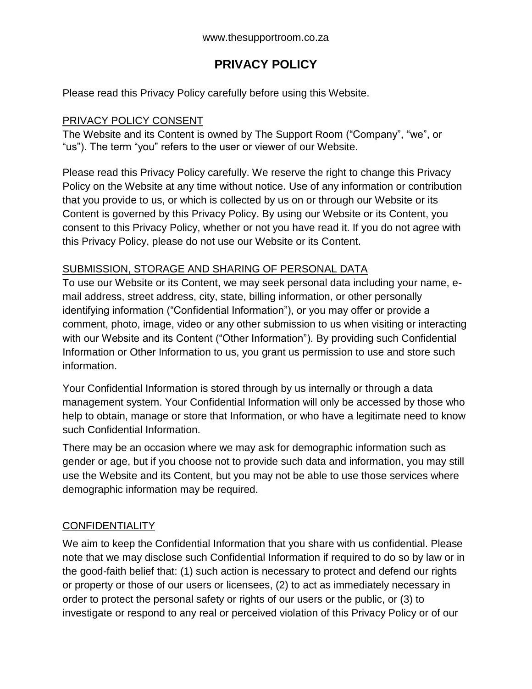# **PRIVACY POLICY**

Please read this Privacy Policy carefully before using this Website.

### PRIVACY POLICY CONSENT

The Website and its Content is owned by The Support Room ("Company", "we", or "us"). The term "you" refers to the user or viewer of our Website.

Please read this Privacy Policy carefully. We reserve the right to change this Privacy Policy on the Website at any time without notice. Use of any information or contribution that you provide to us, or which is collected by us on or through our Website or its Content is governed by this Privacy Policy. By using our Website or its Content, you consent to this Privacy Policy, whether or not you have read it. If you do not agree with this Privacy Policy, please do not use our Website or its Content.

#### SUBMISSION, STORAGE AND SHARING OF PERSONAL DATA

To use our Website or its Content, we may seek personal data including your name, email address, street address, city, state, billing information, or other personally identifying information ("Confidential Information"), or you may offer or provide a comment, photo, image, video or any other submission to us when visiting or interacting with our Website and its Content ("Other Information"). By providing such Confidential Information or Other Information to us, you grant us permission to use and store such information.

Your Confidential Information is stored through by us internally or through a data management system. Your Confidential Information will only be accessed by those who help to obtain, manage or store that Information, or who have a legitimate need to know such Confidential Information.

There may be an occasion where we may ask for demographic information such as gender or age, but if you choose not to provide such data and information, you may still use the Website and its Content, but you may not be able to use those services where demographic information may be required.

## **CONFIDENTIALITY**

We aim to keep the Confidential Information that you share with us confidential. Please note that we may disclose such Confidential Information if required to do so by law or in the good-faith belief that: (1) such action is necessary to protect and defend our rights or property or those of our users or licensees, (2) to act as immediately necessary in order to protect the personal safety or rights of our users or the public, or (3) to investigate or respond to any real or perceived violation of this Privacy Policy or of our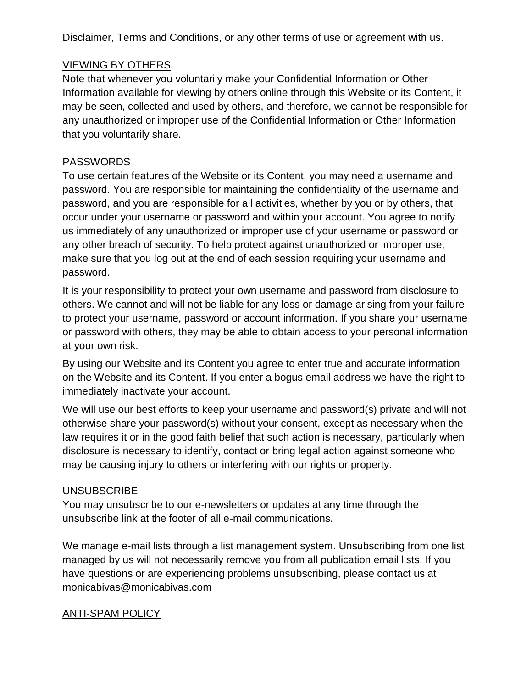Disclaimer, Terms and Conditions, or any other terms of use or agreement with us.

### VIEWING BY OTHERS

Note that whenever you voluntarily make your Confidential Information or Other Information available for viewing by others online through this Website or its Content, it may be seen, collected and used by others, and therefore, we cannot be responsible for any unauthorized or improper use of the Confidential Information or Other Information that you voluntarily share.

### PASSWORDS

To use certain features of the Website or its Content, you may need a username and password. You are responsible for maintaining the confidentiality of the username and password, and you are responsible for all activities, whether by you or by others, that occur under your username or password and within your account. You agree to notify us immediately of any unauthorized or improper use of your username or password or any other breach of security. To help protect against unauthorized or improper use, make sure that you log out at the end of each session requiring your username and password.

It is your responsibility to protect your own username and password from disclosure to others. We cannot and will not be liable for any loss or damage arising from your failure to protect your username, password or account information. If you share your username or password with others, they may be able to obtain access to your personal information at your own risk.

By using our Website and its Content you agree to enter true and accurate information on the Website and its Content. If you enter a bogus email address we have the right to immediately inactivate your account.

We will use our best efforts to keep your username and password(s) private and will not otherwise share your password(s) without your consent, except as necessary when the law requires it or in the good faith belief that such action is necessary, particularly when disclosure is necessary to identify, contact or bring legal action against someone who may be causing injury to others or interfering with our rights or property.

#### UNSUBSCRIBE

You may unsubscribe to our e-newsletters or updates at any time through the unsubscribe link at the footer of all e-mail communications.

We manage e-mail lists through a list management system. Unsubscribing from one list managed by us will not necessarily remove you from all publication email lists. If you have questions or are experiencing problems unsubscribing, please contact us at monicabivas@monicabivas.com

## ANTI-SPAM POLICY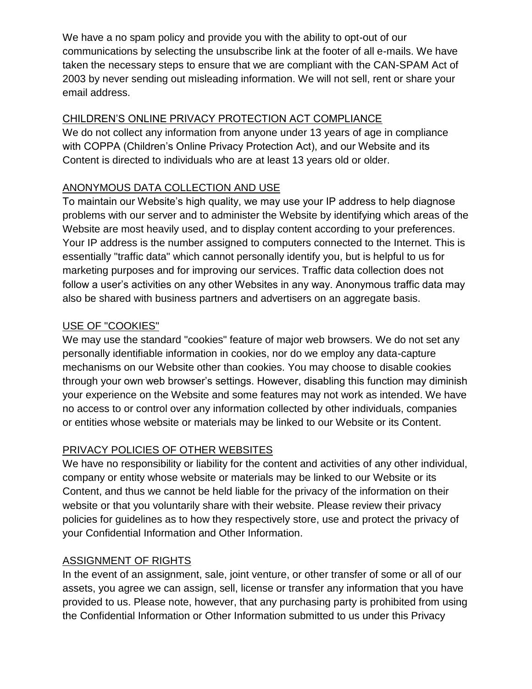We have a no spam policy and provide you with the ability to opt-out of our communications by selecting the unsubscribe link at the footer of all e-mails. We have taken the necessary steps to ensure that we are compliant with the CAN-SPAM Act of 2003 by never sending out misleading information. We will not sell, rent or share your email address.

## CHILDREN'S ONLINE PRIVACY PROTECTION ACT COMPLIANCE

We do not collect any information from anyone under 13 years of age in compliance with COPPA (Children's Online Privacy Protection Act), and our Website and its Content is directed to individuals who are at least 13 years old or older.

## ANONYMOUS DATA COLLECTION AND USE

To maintain our Website's high quality, we may use your IP address to help diagnose problems with our server and to administer the Website by identifying which areas of the Website are most heavily used, and to display content according to your preferences. Your IP address is the number assigned to computers connected to the Internet. This is essentially "traffic data" which cannot personally identify you, but is helpful to us for marketing purposes and for improving our services. Traffic data collection does not follow a user's activities on any other Websites in any way. Anonymous traffic data may also be shared with business partners and advertisers on an aggregate basis.

## USE OF "COOKIES"

We may use the standard "cookies" feature of major web browsers. We do not set any personally identifiable information in cookies, nor do we employ any data-capture mechanisms on our Website other than cookies. You may choose to disable cookies through your own web browser's settings. However, disabling this function may diminish your experience on the Website and some features may not work as intended. We have no access to or control over any information collected by other individuals, companies or entities whose website or materials may be linked to our Website or its Content.

# PRIVACY POLICIES OF OTHER WEBSITES

We have no responsibility or liability for the content and activities of any other individual, company or entity whose website or materials may be linked to our Website or its Content, and thus we cannot be held liable for the privacy of the information on their website or that you voluntarily share with their website. Please review their privacy policies for guidelines as to how they respectively store, use and protect the privacy of your Confidential Information and Other Information.

## ASSIGNMENT OF RIGHTS

In the event of an assignment, sale, joint venture, or other transfer of some or all of our assets, you agree we can assign, sell, license or transfer any information that you have provided to us. Please note, however, that any purchasing party is prohibited from using the Confidential Information or Other Information submitted to us under this Privacy